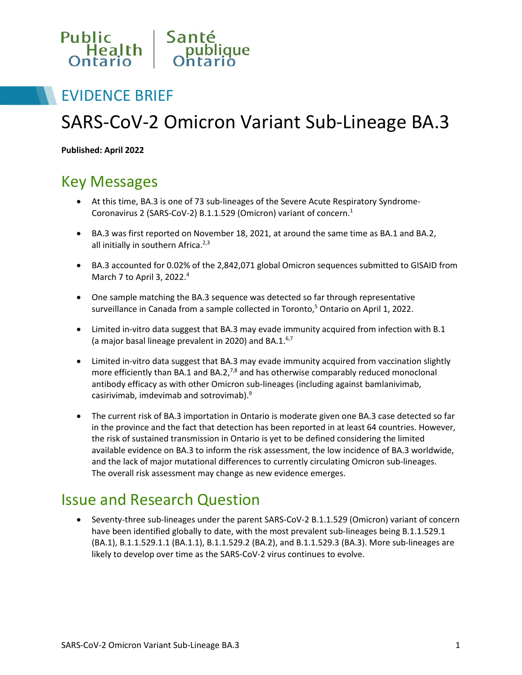

### EVIDENCE BRIEF

# SARS-CoV-2 Omicron Variant Sub-Lineage BA.3

**Published: April 2022**

## Key Messages

- At this time, BA.3 is one of 73 sub-lineages of the Severe Acute Respiratory Syndrome-Coronavirus 2 (SARS-CoV-2) B.1.1.529 (Omicron) variant of concern.1
- BA.3 was first reported on November 18, 2021, at around the same time as BA.1 and BA.2, all initially in southern Africa. $2,3$
- BA.3 accounted for 0.02% of the 2,842,071 global Omicron sequences submitted to GISAID from March 7 to April 3, 2022.4
- One sample matching the BA.3 sequence was detected so far through representative surveillance in Canada from a sample collected in Toronto,<sup>5</sup> Ontario on April 1, 2022.
- Limited in-vitro data suggest that BA.3 may evade immunity acquired from infection with B.1 (a major basal lineage prevalent in 2020) and BA.1.<sup>6,7</sup>
- Limited in-vitro data suggest that BA.3 may evade immunity acquired from vaccination slightly more efficiently than BA.1 and BA.2, $^{7,8}$  and has otherwise comparably reduced monoclonal antibody efficacy as with other Omicron sub-lineages (including against bamlanivimab, casirivimab, imdevimab and sotrovimab).9
- The current risk of BA.3 importation in Ontario is moderate given one BA.3 case detected so far in the province and the fact that detection has been reported in at least 64 countries. However, the risk of sustained transmission in Ontario is yet to be defined considering the limited available evidence on BA.3 to inform the risk assessment, the low incidence of BA.3 worldwide, and the lack of major mutational differences to currently circulating Omicron sub-lineages. The overall risk assessment may change as new evidence emerges.

### Issue and Research Question

• Seventy-three sub-lineages under the parent SARS-CoV-2 B.1.1.529 (Omicron) variant of concern have been identified globally to date, with the most prevalent sub-lineages being B.1.1.529.1 (BA.1), B.1.1.529.1.1 (BA.1.1), B.1.1.529.2 (BA.2), and B.1.1.529.3 (BA.3). More sub-lineages are likely to develop over time as the SARS-CoV-2 virus continues to evolve.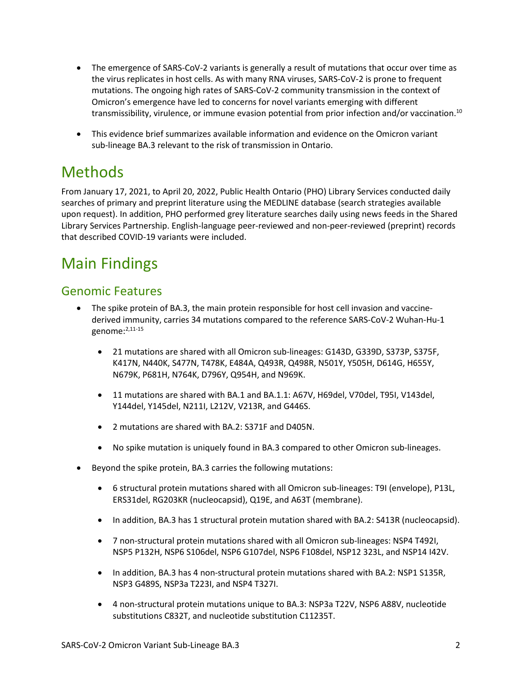- The emergence of SARS-CoV-2 variants is generally a result of mutations that occur over time as the virus replicates in host cells. As with many RNA viruses, SARS-CoV-2 is prone to frequent mutations. The ongoing high rates of SARS-CoV-2 community transmission in the context of Omicron's emergence have led to concerns for novel variants emerging with different transmissibility, virulence, or immune evasion potential from prior infection and/or vaccination.10
- This evidence brief summarizes available information and evidence on the Omicron variant sub-lineage BA.3 relevant to the risk of transmission in Ontario.

## Methods

From January 17, 2021, to April 20, 2022, Public Health Ontario (PHO) Library Services conducted daily searches of primary and preprint literature using the MEDLINE database (search strategies available upon request). In addition, PHO performed grey literature searches daily using news feeds in the Shared Library Services Partnership. English-language peer-reviewed and non-peer-reviewed (preprint) records that described COVID-19 variants were included.

## Main Findings

### Genomic Features

- The spike protein of BA.3, the main protein responsible for host cell invasion and vaccinederived immunity, carries 34 mutations compared to the reference SARS-CoV-2 Wuhan-Hu-1 genome:2,11-15
	- 21 mutations are shared with all Omicron sub-lineages: G143D, G339D, S373P, S375F, K417N, N440K, S477N, T478K, E484A, Q493R, Q498R, N501Y, Y505H, D614G, H655Y, N679K, P681H, N764K, D796Y, Q954H, and N969K.
	- 11 mutations are shared with BA.1 and BA.1.1: A67V, H69del, V70del, T95I, V143del, Y144del, Y145del, N211I, L212V, V213R, and G446S.
	- 2 mutations are shared with BA.2: S371F and D405N.
	- No spike mutation is uniquely found in BA.3 compared to other Omicron sub-lineages.
- Beyond the spike protein, BA.3 carries the following mutations:
	- 6 structural protein mutations shared with all Omicron sub-lineages: T9I (envelope), P13L, ERS31del, RG203KR (nucleocapsid), Q19E, and A63T (membrane).
	- In addition, BA.3 has 1 structural protein mutation shared with BA.2: S413R (nucleocapsid).
	- 7 non-structural protein mutations shared with all Omicron sub-lineages: NSP4 T492I, NSP5 P132H, NSP6 S106del, NSP6 G107del, NSP6 F108del, NSP12 323L, and NSP14 I42V.
	- In addition, BA.3 has 4 non-structural protein mutations shared with BA.2: NSP1 S135R, NSP3 G489S, NSP3a T223I, and NSP4 T327I.
	- 4 non-structural protein mutations unique to BA.3: NSP3a T22V, NSP6 A88V, nucleotide substitutions C832T, and nucleotide substitution C11235T.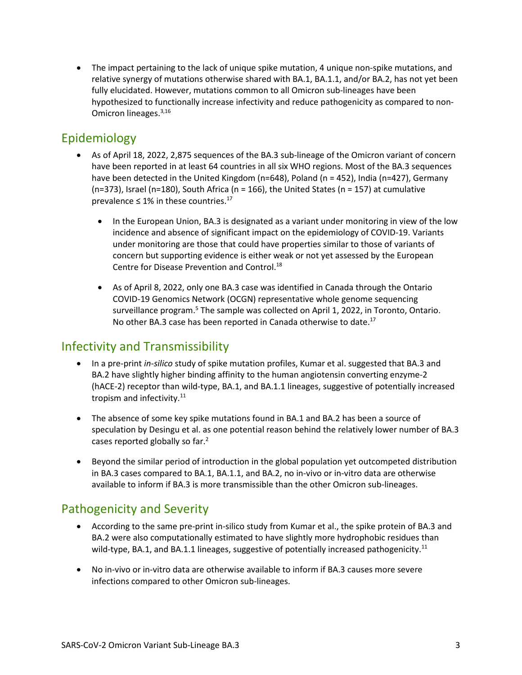• The impact pertaining to the lack of unique spike mutation, 4 unique non-spike mutations, and relative synergy of mutations otherwise shared with BA.1, BA.1.1, and/or BA.2, has not yet been fully elucidated. However, mutations common to all Omicron sub-lineages have been hypothesized to functionally increase infectivity and reduce pathogenicity as compared to non-Omicron lineages.3,16

### Epidemiology

- As of April 18, 2022, 2,875 sequences of the BA.3 sub-lineage of the Omicron variant of concern have been reported in at least 64 countries in all six WHO regions. Most of the BA.3 sequences have been detected in the United Kingdom (n=648), Poland (n = 452), India (n=427), Germany  $(n=373)$ , Israel (n=180), South Africa (n = 166), the United States (n = 157) at cumulative prevalence  $\leq 1\%$  in these countries.<sup>17</sup>
	- In the European Union, BA.3 is designated as a variant under monitoring in view of the low incidence and absence of significant impact on the epidemiology of COVID-19. Variants under monitoring are those that could have properties similar to those of variants of concern but supporting evidence is either weak or not yet assessed by the European Centre for Disease Prevention and Control.<sup>18</sup>
	- As of April 8, 2022, only one BA.3 case was identified in Canada through the Ontario COVID-19 Genomics Network (OCGN) representative whole genome sequencing surveillance program.<sup>5</sup> The sample was collected on April 1, 2022, in Toronto, Ontario. No other BA.3 case has been reported in Canada otherwise to date.<sup>17</sup>

### Infectivity and Transmissibility

- In a pre-print *in-silico* study of spike mutation profiles, Kumar et al. suggested that BA.3 and BA.2 have slightly higher binding affinity to the human angiotensin converting enzyme-2 (hACE-2) receptor than wild-type, BA.1, and BA.1.1 lineages, suggestive of potentially increased tropism and infectivity.<sup>11</sup>
- The absence of some key spike mutations found in BA.1 and BA.2 has been a source of speculation by Desingu et al. as one potential reason behind the relatively lower number of BA.3 cases reported globally so far.2
- Beyond the similar period of introduction in the global population yet outcompeted distribution in BA.3 cases compared to BA.1, BA.1.1, and BA.2, no in-vivo or in-vitro data are otherwise available to inform if BA.3 is more transmissible than the other Omicron sub-lineages.

### Pathogenicity and Severity

- According to the same pre-print in-silico study from Kumar et al., the spike protein of BA.3 and BA.2 were also computationally estimated to have slightly more hydrophobic residues than wild-type, BA.1, and BA.1.1 lineages, suggestive of potentially increased pathogenicity.<sup>11</sup>
- No in-vivo or in-vitro data are otherwise available to inform if BA.3 causes more severe infections compared to other Omicron sub-lineages.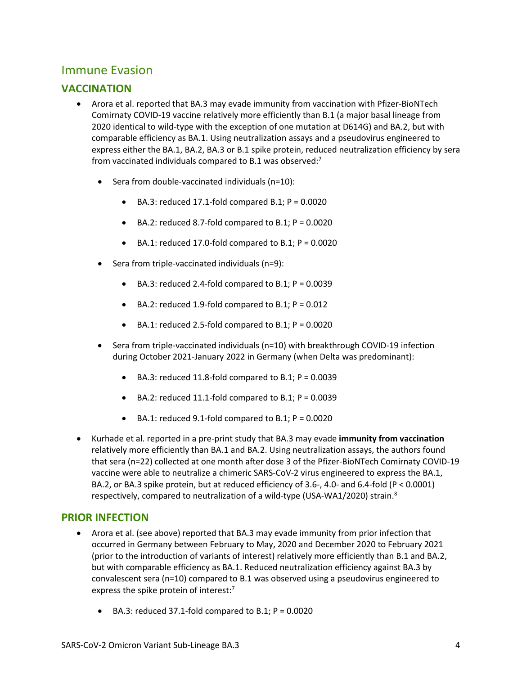### Immune Evasion

### **VACCINATION**

- Arora et al. reported that BA.3 may evade immunity from vaccination with Pfizer-BioNTech Comirnaty COVID-19 vaccine relatively more efficiently than B.1 (a major basal lineage from 2020 identical to wild-type with the exception of one mutation at D614G) and BA.2, but with comparable efficiency as BA.1. Using neutralization assays and a pseudovirus engineered to express either the BA.1, BA.2, BA.3 or B.1 spike protein, reduced neutralization efficiency by sera from vaccinated individuals compared to B.1 was observed:<sup>7</sup>
	- Sera from double-vaccinated individuals (n=10):
		- $\bullet$  BA.3: reduced 17.1-fold compared B.1; P = 0.0020
		- $\bullet$  BA.2: reduced 8.7-fold compared to B.1; P = 0.0020
		- $\bullet$  BA.1: reduced 17.0-fold compared to B.1; P = 0.0020
	- Sera from triple-vaccinated individuals (n=9):
		- $\bullet$  BA.3: reduced 2.4-fold compared to B.1; P = 0.0039
		- $\bullet$  BA.2: reduced 1.9-fold compared to B.1; P = 0.012
		- $\bullet$  BA.1: reduced 2.5-fold compared to B.1; P = 0.0020
	- Sera from triple-vaccinated individuals (n=10) with breakthrough COVID-19 infection during October 2021-January 2022 in Germany (when Delta was predominant):
		- $\bullet$  BA.3: reduced 11.8-fold compared to B.1; P = 0.0039
		- $\bullet$  BA.2: reduced 11.1-fold compared to B.1; P = 0.0039
		- $\bullet$  BA.1: reduced 9.1-fold compared to B.1; P = 0.0020
- Kurhade et al. reported in a pre-print study that BA.3 may evade **immunity from vaccination** relatively more efficiently than BA.1 and BA.2. Using neutralization assays, the authors found that sera (n=22) collected at one month after dose 3 of the Pfizer-BioNTech Comirnaty COVID-19 vaccine were able to neutralize a chimeric SARS-CoV-2 virus engineered to express the BA.1, BA.2, or BA.3 spike protein, but at reduced efficiency of 3.6-, 4.0- and 6.4-fold (P < 0.0001) respectively, compared to neutralization of a wild-type (USA-WA1/2020) strain.8

#### **PRIOR INFECTION**

- Arora et al. (see above) reported that BA.3 may evade immunity from prior infection that occurred in Germany between February to May, 2020 and December 2020 to February 2021 (prior to the introduction of variants of interest) relatively more efficiently than B.1 and BA.2, but with comparable efficiency as BA.1. Reduced neutralization efficiency against BA.3 by convalescent sera (n=10) compared to B.1 was observed using a pseudovirus engineered to express the spike protein of interest:<sup>7</sup>
	- $\bullet$  BA.3: reduced 37.1-fold compared to B.1; P = 0.0020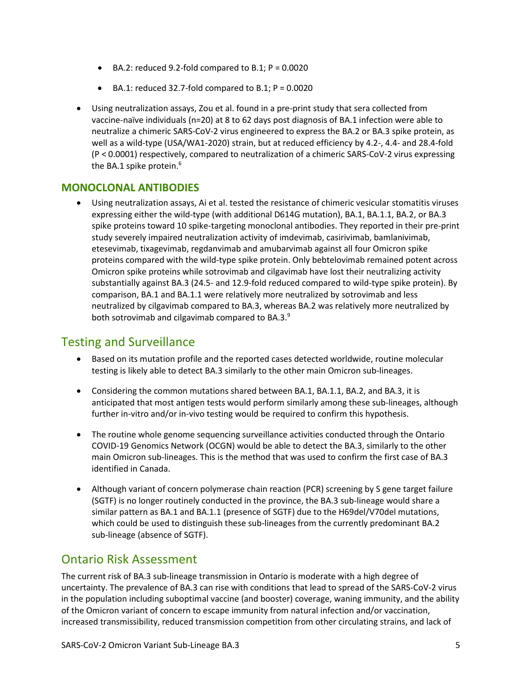- $\bullet$  BA.2: reduced 9.2-fold compared to B.1; P = 0.0020
- BA.1: reduced 32.7-fold compared to B.1; P = 0.0020
- Using neutralization assays, Zou et al. found in a pre-print study that sera collected from vaccine-naïve individuals (n=20) at 8 to 62 days post diagnosis of BA.1 infection were able to neutralize a chimeric SARS-CoV-2 virus engineered to express the BA.2 or BA.3 spike protein, as well as a wild-type (USA/WA1-2020) strain, but at reduced efficiency by 4.2-, 4.4- and 28.4-fold (P < 0.0001) respectively, compared to neutralization of a chimeric SARS-CoV-2 virus expressing the BA.1 spike protein.<sup>6</sup>

#### **MONOCLONAL ANTIBODIES**

• Using neutralization assays, Ai et al. tested the resistance of chimeric vesicular stomatitis viruses expressing either the wild-type (with additional D614G mutation), BA.1, BA.1.1, BA.2, or BA.3 spike proteins toward 10 spike-targeting monoclonal antibodies. They reported in their pre-print study severely impaired neutralization activity of imdevimab, casirivimab, bamlanivimab, etesevimab, tixagevimab, regdanvimab and amubarvimab against all four Omicron spike proteins compared with the wild-type spike protein. Only bebtelovimab remained potent across Omicron spike proteins while sotrovimab and cilgavimab have lost their neutralizing activity substantially against BA.3 (24.5- and 12.9-fold reduced compared to wild-type spike protein). By comparison, BA.1 and BA.1.1 were relatively more neutralized by sotrovimab and less neutralized by cilgavimab compared to BA.3, whereas BA.2 was relatively more neutralized by both sotrovimab and cilgavimab compared to BA.3.<sup>9</sup>

### Testing and Surveillance

- Based on its mutation profile and the reported cases detected worldwide, routine molecular testing is likely able to detect BA.3 similarly to the other main Omicron sub-lineages.
- Considering the common mutations shared between BA.1, BA.1.1, BA.2, and BA.3, it is anticipated that most antigen tests would perform similarly among these sub-lineages, although further in-vitro and/or in-vivo testing would be required to confirm this hypothesis.
- The routine whole genome sequencing surveillance activities conducted through the Ontario COVID-19 Genomics Network (OCGN) would be able to detect the BA.3, similarly to the other main Omicron sub-lineages. This is the method that was used to confirm the first case of BA.3 identified in Canada.
- Although variant of concern polymerase chain reaction (PCR) screening by S gene target failure (SGTF) is no longer routinely conducted in the province, the BA.3 sub-lineage would share a similar pattern as BA.1 and BA.1.1 (presence of SGTF) due to the H69del/V70del mutations, which could be used to distinguish these sub-lineages from the currently predominant BA.2 sub-lineage (absence of SGTF).

### Ontario Risk Assessment

The current risk of BA.3 sub-lineage transmission in Ontario is moderate with a high degree of uncertainty. The prevalence of BA.3 can rise with conditions that lead to spread of the SARS-CoV-2 virus in the population including suboptimal vaccine (and booster) coverage, waning immunity, and the ability of the Omicron variant of concern to escape immunity from natural infection and/or vaccination, increased transmissibility, reduced transmission competition from other circulating strains, and lack of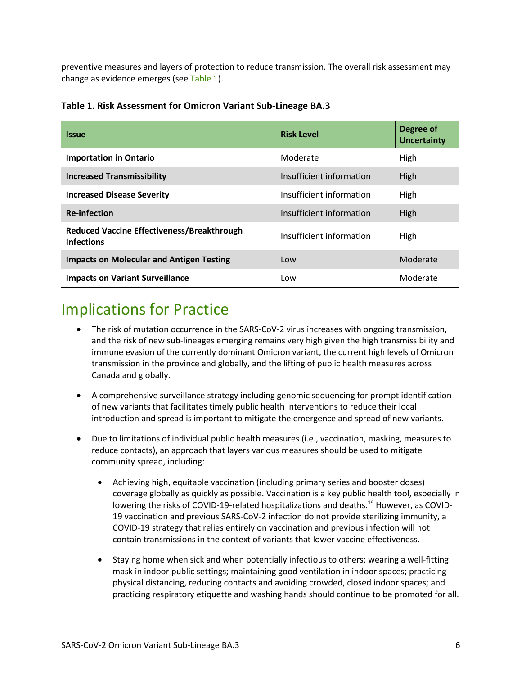<span id="page-5-0"></span>preventive measures and layers of protection to reduce transmission. The overall risk assessment may change as evidence emerges (see [Table](#page-5-0) 1).

| <b>Issue</b>                                                           | <b>Risk Level</b>        | Degree of<br><b>Uncertainty</b> |
|------------------------------------------------------------------------|--------------------------|---------------------------------|
| <b>Importation in Ontario</b>                                          | Moderate                 | High                            |
| <b>Increased Transmissibility</b>                                      | Insufficient information | High                            |
| <b>Increased Disease Severity</b>                                      | Insufficient information | High                            |
| <b>Re-infection</b>                                                    | Insufficient information | High                            |
| <b>Reduced Vaccine Effectiveness/Breakthrough</b><br><b>Infections</b> | Insufficient information | High                            |
| <b>Impacts on Molecular and Antigen Testing</b>                        | Low                      | Moderate                        |
| <b>Impacts on Variant Surveillance</b>                                 | Low                      | Moderate                        |

#### **Table 1. Risk Assessment for Omicron Variant Sub-Lineage BA.3**

## Implications for Practice

- The risk of mutation occurrence in the SARS-CoV-2 virus increases with ongoing transmission, and the risk of new sub-lineages emerging remains very high given the high transmissibility and immune evasion of the currently dominant Omicron variant, the current high levels of Omicron transmission in the province and globally, and the lifting of public health measures across Canada and globally.
- A comprehensive surveillance strategy including genomic sequencing for prompt identification of new variants that facilitates timely public health interventions to reduce their local introduction and spread is important to mitigate the emergence and spread of new variants.
- Due to limitations of individual public health measures (i.e., vaccination, masking, measures to reduce contacts), an approach that layers various measures should be used to mitigate community spread, including:
	- Achieving high, equitable vaccination (including primary series and booster doses) coverage globally as quickly as possible. Vaccination is a key public health tool, especially in lowering the risks of COVID-19-related hospitalizations and deaths.<sup>19</sup> However, as COVID-19 vaccination and previous SARS-CoV-2 infection do not provide sterilizing immunity, a COVID-19 strategy that relies entirely on vaccination and previous infection will not contain transmissions in the context of variants that lower vaccine effectiveness.
	- Staying home when sick and when potentially infectious to others; wearing a well-fitting mask in indoor public settings; maintaining good ventilation in indoor spaces; practicing physical distancing, reducing contacts and avoiding crowded, closed indoor spaces; and practicing respiratory etiquette and washing hands should continue to be promoted for all.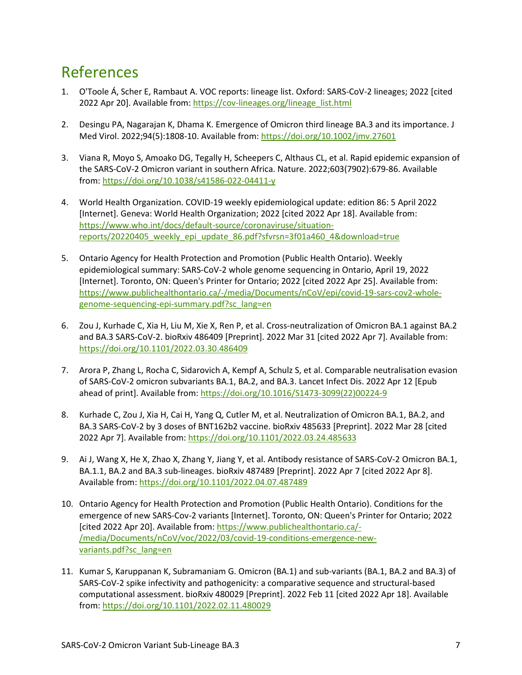## References

- 1. O'Toole Á, Scher E, Rambaut A. VOC reports: lineage list. Oxford: SARS-CoV-2 lineages; 2022 [cited 2022 Apr 20]. Available from[: https://cov-lineages.org/lineage\\_list.html](https://cov-lineages.org/lineage_list.html)
- 2. Desingu PA, Nagarajan K, Dhama K. Emergence of Omicron third lineage BA.3 and its importance. J Med Virol. 2022;94(5):1808-10. Available from:<https://doi.org/10.1002/jmv.27601>
- 3. Viana R, Moyo S, Amoako DG, Tegally H, Scheepers C, Althaus CL, et al. Rapid epidemic expansion of the SARS-CoV-2 Omicron variant in southern Africa. Nature. 2022;603(7902):679-86. Available from:<https://doi.org/10.1038/s41586-022-04411-y>
- 4. World Health Organization. COVID-19 weekly epidemiological update: edition 86: 5 April 2022 [Internet]. Geneva: World Health Organization; 2022 [cited 2022 Apr 18]. Available from: [https://www.who.int/docs/default-source/coronaviruse/situation](http://www.who.int/docs/default-source/coronaviruse/situation-reports/20220405_weekly_epi_update_86.pdf?sfvrsn=3f01a460_4&download=true)[reports/20220405\\_weekly\\_epi\\_update\\_86.pdf?sfvrsn=3f01a460\\_4&download=true](http://www.who.int/docs/default-source/coronaviruse/situation-reports/20220405_weekly_epi_update_86.pdf?sfvrsn=3f01a460_4&download=true)
- 5. Ontario Agency for Health Protection and Promotion (Public Health Ontario). Weekly epidemiological summary: SARS-CoV-2 whole genome sequencing in Ontario, April 19, 2022 [Internet]. Toronto, ON: Queen's Printer for Ontario; 2022 [cited 2022 Apr 25]. Available from: [https://www.publichealthontario.ca/-/media/Documents/nCoV/epi/covid-19-sars-cov2-whole](http://www.publichealthontario.ca/-/media/Documents/nCoV/epi/covid-19-sars-cov2-whole-genome-sequencing-epi-summary.pdf?sc_lang=en)[genome-sequencing-epi-summary.pdf?sc\\_lang=en](http://www.publichealthontario.ca/-/media/Documents/nCoV/epi/covid-19-sars-cov2-whole-genome-sequencing-epi-summary.pdf?sc_lang=en)
- 6. Zou J, Kurhade C, Xia H, Liu M, Xie X, Ren P, et al. Cross-neutralization of Omicron BA.1 against BA.2 and BA.3 SARS-CoV-2. bioRxiv 486409 [Preprint]. 2022 Mar 31 [cited 2022 Apr 7]. Available from: <https://doi.org/10.1101/2022.03.30.486409>
- 7. Arora P, Zhang L, Rocha C, Sidarovich A, Kempf A, Schulz S, et al. Comparable neutralisation evasion of SARS-CoV-2 omicron subvariants BA.1, BA.2, and BA.3. Lancet Infect Dis. 2022 Apr 12 [Epub ahead of print]. Available from: [https://doi.org/10.1016/S1473-3099\(22\)00224-9](https://doi.org/10.1016/S1473-3099(22)00224-9)
- 8. Kurhade C, Zou J, Xia H, Cai H, Yang Q, Cutler M, et al. Neutralization of Omicron BA.1, BA.2, and BA.3 SARS-CoV-2 by 3 doses of BNT162b2 vaccine. bioRxiv 485633 [Preprint]. 2022 Mar 28 [cited 2022 Apr 7]. Available from:<https://doi.org/10.1101/2022.03.24.485633>
- 9. Ai J, Wang X, He X, Zhao X, Zhang Y, Jiang Y, et al. Antibody resistance of SARS-CoV-2 Omicron BA.1, BA.1.1, BA.2 and BA.3 sub-lineages. bioRxiv 487489 [Preprint]. 2022 Apr 7 [cited 2022 Apr 8]. Available from:<https://doi.org/10.1101/2022.04.07.487489>
- 10. Ontario Agency for Health Protection and Promotion (Public Health Ontario). Conditions for the emergence of new SARS-Cov-2 variants [Internet]. Toronto, ON: Queen's Printer for Ontario; 2022 [cited 2022 Apr 20]. Available from[: https://www.publichealthontario.ca/-](http://www.publichealthontario.ca/-/media/Documents/nCoV/voc/2022/03/covid-19-conditions-emergence-new-variants.pdf?sc_lang=en) [/media/Documents/nCoV/voc/2022/03/covid-19-conditions-emergence-new](http://www.publichealthontario.ca/-/media/Documents/nCoV/voc/2022/03/covid-19-conditions-emergence-new-variants.pdf?sc_lang=en)[variants.pdf?sc\\_lang=en](http://www.publichealthontario.ca/-/media/Documents/nCoV/voc/2022/03/covid-19-conditions-emergence-new-variants.pdf?sc_lang=en)
- 11. Kumar S, Karuppanan K, Subramaniam G. Omicron (BA.1) and sub-variants (BA.1, BA.2 and BA.3) of SARS-CoV-2 spike infectivity and pathogenicity: a comparative sequence and structural-based computational assessment. bioRxiv 480029 [Preprint]. 2022 Feb 11 [cited 2022 Apr 18]. Available from:<https://doi.org/10.1101/2022.02.11.480029>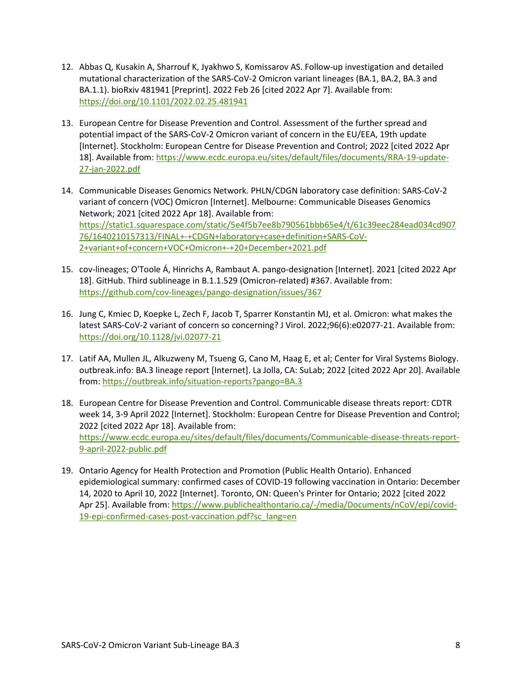- 12. Abbas Q, Kusakin A, Sharrouf K, Jyakhwo S, Komissarov AS. Follow-up investigation and detailed mutational characterization of the SARS-CoV-2 Omicron variant lineages (BA.1, BA.2, BA.3 and BA.1.1). bioRxiv 481941 [Preprint]. 2022 Feb 26 [cited 2022 Apr 7]. Available from: <https://doi.org/10.1101/2022.02.25.481941>
- 13. European Centre for Disease Prevention and Control. Assessment of the further spread and potential impact of the SARS-CoV-2 Omicron variant of concern in the EU/EEA, 19th update [Internet]. Stockholm: European Centre for Disease Prevention and Control; 2022 [cited 2022 Apr 18]. Available from: [https://www.ecdc.europa.eu/sites/default/files/documents/RRA-19-update-](http://www.ecdc.europa.eu/sites/default/files/documents/RRA-19-update-27-jan-2022.pdf)[27-jan-2022.pdf](http://www.ecdc.europa.eu/sites/default/files/documents/RRA-19-update-27-jan-2022.pdf)
- 14. Communicable Diseases Genomics Network. PHLN/CDGN laboratory case definition: SARS-CoV-2 variant of concern (VOC) Omicron [Internet]. Melbourne: Communicable Diseases Genomics Network; 2021 [cited 2022 Apr 18]. Available from: [https://static1.squarespace.com/static/5e4f5b7ee8b790561bbb65e4/t/61c39eec284ead034cd907](https://static1.squarespace.com/static/5e4f5b7ee8b790561bbb65e4/t/61c39eec284ead034cd90776/1640210157313/FINAL+-+CDGN+laboratory+case+definition+SARS-CoV-2+variant+of+concern+VOC+Omicron+-+20+December+2021.pdf) [76/1640210157313/FINAL+-+CDGN+laboratory+case+definition+SARS-CoV-](https://static1.squarespace.com/static/5e4f5b7ee8b790561bbb65e4/t/61c39eec284ead034cd90776/1640210157313/FINAL+-+CDGN+laboratory+case+definition+SARS-CoV-2+variant+of+concern+VOC+Omicron+-+20+December+2021.pdf)[2+variant+of+concern+VOC+Omicron+-+20+December+2021.pdf](https://static1.squarespace.com/static/5e4f5b7ee8b790561bbb65e4/t/61c39eec284ead034cd90776/1640210157313/FINAL+-+CDGN+laboratory+case+definition+SARS-CoV-2+variant+of+concern+VOC+Omicron+-+20+December+2021.pdf)
- 15. cov-lineages; O'Toole Á, Hinrichs A, Rambaut A. pango-designation [Internet]. 2021 [cited 2022 Apr 18]. GitHub. Third sublineage in B.1.1.529 (Omicron-related) #367. Available from: https://github.com/cov-lineages/pango-designation/issues/367
- 16. Jung C, Kmiec D, Koepke L, Zech F, Jacob T, Sparrer Konstantin MJ, et al. Omicron: what makes the latest SARS-CoV-2 variant of concern so concerning? J Virol. 2022;96(6):e02077-21. Available from: <https://doi.org/10.1128/jvi.02077-21>
- 17. Latif AA, Mullen JL, Alkuzweny M, Tsueng G, Cano M, Haag E, et al; Center for Viral Systems Biology. outbreak.info: BA.3 lineage report [Internet]. La Jolla, CA: SuLab; 2022 [cited 2022 Apr 20]. Available from:<https://outbreak.info/situation-reports?pango=BA.3>
- 18. European Centre for Disease Prevention and Control. Communicable disease threats report: CDTR week 14, 3-9 April 2022 [Internet]. Stockholm: European Centre for Disease Prevention and Control; 2022 [cited 2022 Apr 18]. Available from: [https://www.ecdc.europa.eu/sites/default/files/documents/Communicable-disease-threats-report-](http://www.ecdc.europa.eu/sites/default/files/documents/Communicable-disease-threats-report-9-april-2022-public.pdf)[9-april-2022-public.pdf](http://www.ecdc.europa.eu/sites/default/files/documents/Communicable-disease-threats-report-9-april-2022-public.pdf)
- 19. Ontario Agency for Health Protection and Promotion (Public Health Ontario). Enhanced epidemiological summary: confirmed cases of COVID-19 following vaccination in Ontario: December 14, 2020 to April 10, 2022 [Internet]. Toronto, ON: Queen's Printer for Ontario; 2022 [cited 2022 Apr 25]. Available from[: https://www.publichealthontario.ca/-/media/Documents/nCoV/epi/covid-](http://www.publichealthontario.ca/-/media/Documents/nCoV/epi/covid-19-epi-confirmed-cases-post-vaccination.pdf?sc_lang=en)[19-epi-confirmed-cases-post-vaccination.pdf?sc\\_lang=en](http://www.publichealthontario.ca/-/media/Documents/nCoV/epi/covid-19-epi-confirmed-cases-post-vaccination.pdf?sc_lang=en)